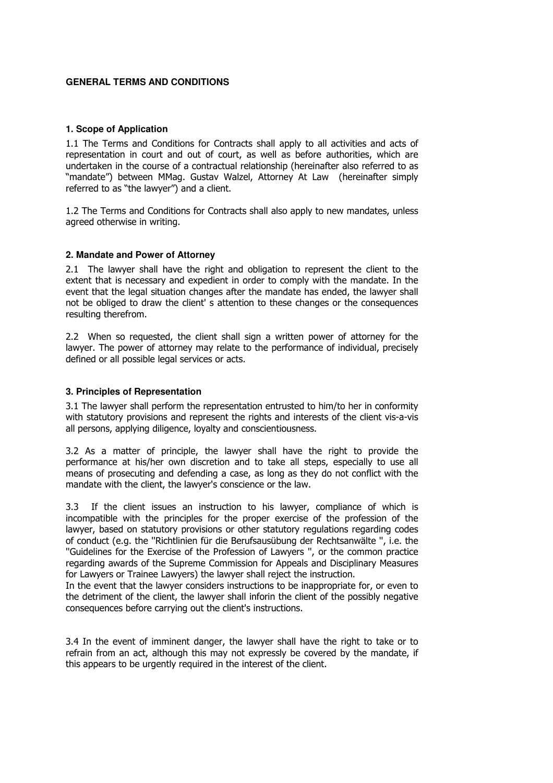# **GENERAL TERMS AND CONDITIONS**

## **1. Scope of Application**

1.1 The Terms and Conditions for Contracts shall apply to all activities and acts of representation in court and out of court, as well as before authorities, which are undertaken in the course of a contractual relationship (hereinafter also referred to as "mandate") between MMag. Gustav Walzel, Attorney At Law (hereinafter simply referred to as "the lawyer") and a client.

1.2 The Terms and Conditions for Contracts shall also apply to new mandates, unless agreed otherwise in writing.

# **2. Mandate and Power of Attorney**

2.1 The lawyer shall have the right and obligation to represent the client to the extent that is necessary and expedient in order to comply with the mandate. In the event that the legal situation changes after the mandate has ended, the lawyer shall not be obliged to draw the client' s attention to these changes or the consequences resulting therefrom.

2.2 When so requested, the client shall sign a written power of attorney for the lawyer. The power of attorney may relate to the performance of individual, precisely defined or all possible legal services or acts.

## **3. Principles of Representation**

3.1 The lawyer shall perform the representation entrusted to him/to her in conformity with statutory provisions and represent the rights and interests of the client vis-a-vis all persons, applying diligence, loyalty and conscientiousness.

3.2 As a matter of principle, the lawyer shall have the right to provide the performance at his/her own discretion and to take all steps, especially to use all means of prosecuting and defending a case, as long as they do not conflict with the mandate with the client, the lawyer's conscience or the law.

3.3 If the client issues an instruction to his lawyer, compliance of which is incompatible with the principles for the proper exercise of the profession of the lawyer, based on statutory provisions or other statutory regulations regarding codes of conduct (e.g. the ''Richtlinien für die Berufsausübung der Rechtsanwälte '', i.e. the ''Guidelines for the Exercise of the Profession of Lawyers '', or the common practice regarding awards of the Supreme Commission for Appeals and Disciplinary Measures for Lawyers or Trainee Lawyers) the lawyer shall reject the instruction.

In the event that the lawyer considers instructions to be inappropriate for, or even to the detriment of the client, the lawyer shall inforin the client of the possibly negative consequences before carrying out the client's instructions.

3.4 In the event of imminent danger, the lawyer shall have the right to take or to refrain from an act, although this may not expressly be covered by the mandate, if this appears to be urgently required in the interest of the client.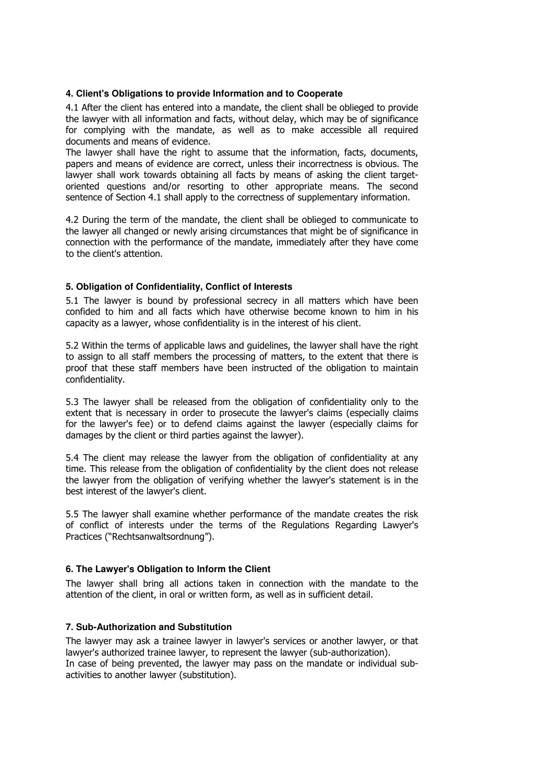# **4. Client's Obligations to provide Information and to Cooperate**

4.1 After the client has entered into a mandate, the client shall be oblieged to provide the lawyer with all information and facts, without delay, which may be of significance for complying with the mandate, as well as to make accessible all required documents and means of evidence.

The lawyer shall have the right to assume that the information, facts, documents, papers and means of evidence are correct, unless their incorrectness is obvious. The lawyer shall work towards obtaining all facts by means of asking the client targetoriented questions and/or resorting to other appropriate means. The second sentence of Section 4.1 shall apply to the correctness of supplementary information.

4.2 During the term of the mandate, the client shall be oblieged to communicate to the lawyer all changed or newly arising circumstances that might be of significance in connection with the performance of the mandate, immediately after they have come to the client's attention.

# **5. Obligation of Confidentiality, Conflict of Interests**

5.1 The lawyer is bound by professional secrecy in all matters which have been confided to him and all facts which have otherwise become known to him in his capacity as a lawyer, whose confidentiality is in the interest of his client.

5.2 Within the terms of applicable laws and guidelines, the lawyer shall have the right to assign to all staff members the processing of matters, to the extent that there is proof that these staff members have been instructed of the obligation to maintain confidentiality.

5.3 The lawyer shall be released from the obligation of confidentiality only to the extent that is necessary in order to prosecute the lawyer's claims (especially claims for the lawyer's fee) or to defend claims against the lawyer (especially claims for damages by the client or third parties against the lawyer).

5.4 The client may release the lawyer from the obligation of confidentiality at any time. This release from the obligation of confidentiality by the client does not release the lawyer from the obligation of verifying whether the lawyer's statement is in the best interest of the lawyer's client.

5.5 The lawyer shall examine whether performance of the mandate creates the risk of conflict of interests under the terms of the Regulations Regarding Lawyer's Practices ("Rechtsanwaltsordnung").

### **6. The Lawyer's Obligation to Inform the Client**

The lawyer shall bring all actions taken in connection with the mandate to the attention of the client, in oral or written form, as well as in sufficient detail.

# **7. Sub-Authorization and Substitution**

The lawyer may ask a trainee lawyer in lawyer's services or another lawyer, or that lawyer's authorized trainee lawyer, to represent the lawyer (sub-authorization). In case of being prevented, the lawyer may pass on the mandate or individual subactivities to another lawyer (substitution).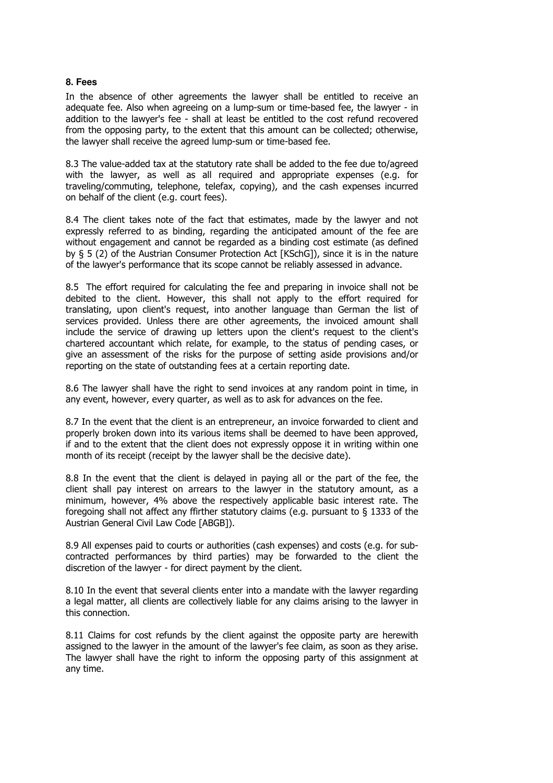#### **8. Fees**

In the absence of other agreements the lawyer shall be entitled to receive an adequate fee. Also when agreeing on a lump-sum or time-based fee, the lawyer - in addition to the lawyer's fee - shall at least be entitled to the cost refund recovered from the opposing party, to the extent that this amount can be collected; otherwise, the lawyer shall receive the agreed lump-sum or time-based fee.

8.3 The value-added tax at the statutory rate shall be added to the fee due to/agreed with the lawyer, as well as all required and appropriate expenses (e.g. for traveling/commuting, telephone, telefax, copying), and the cash expenses incurred on behalf of the client (e.g. court fees).

8.4 The client takes note of the fact that estimates, made by the lawyer and not expressly referred to as binding, regarding the anticipated amount of the fee are without engagement and cannot be regarded as a binding cost estimate (as defined by § 5 (2) of the Austrian Consumer Protection Act [KSchG]), since it is in the nature of the lawyer's performance that its scope cannot be reliably assessed in advance.

8.5 The effort required for calculating the fee and preparing in invoice shall not be debited to the client. However, this shall not apply to the effort required for translating, upon client's request, into another language than German the list of services provided. Unless there are other agreements, the invoiced amount shall include the service of drawing up letters upon the client's request to the client's chartered accountant which relate, for example, to the status of pending cases, or give an assessment of the risks for the purpose of setting aside provisions and/or reporting on the state of outstanding fees at a certain reporting date.

8.6 The lawyer shall have the right to send invoices at any random point in time, in any event, however, every quarter, as well as to ask for advances on the fee.

8.7 In the event that the client is an entrepreneur, an invoice forwarded to client and properly broken down into its various items shall be deemed to have been approved, if and to the extent that the client does not expressly oppose it in writing within one month of its receipt (receipt by the lawyer shall be the decisive date).

8.8 In the event that the client is delayed in paying all or the part of the fee, the client shall pay interest on arrears to the lawyer in the statutory amount, as a minimum, however, 4% above the respectively applicable basic interest rate. The foregoing shall not affect any ffirther statutory claims (e.g. pursuant to § 1333 of the Austrian General Civil Law Code [ABGB]).

8.9 All expenses paid to courts or authorities (cash expenses) and costs (e.g. for subcontracted performances by third parties) may be forwarded to the client the discretion of the lawyer - for direct payment by the client.

8.10 In the event that several clients enter into a mandate with the lawyer regarding a legal matter, all clients are collectively liable for any claims arising to the lawyer in this connection.

8.11 Claims for cost refunds by the client against the opposite party are herewith assigned to the lawyer in the amount of the lawyer's fee claim, as soon as they arise. The lawyer shall have the right to inform the opposing party of this assignment at any time.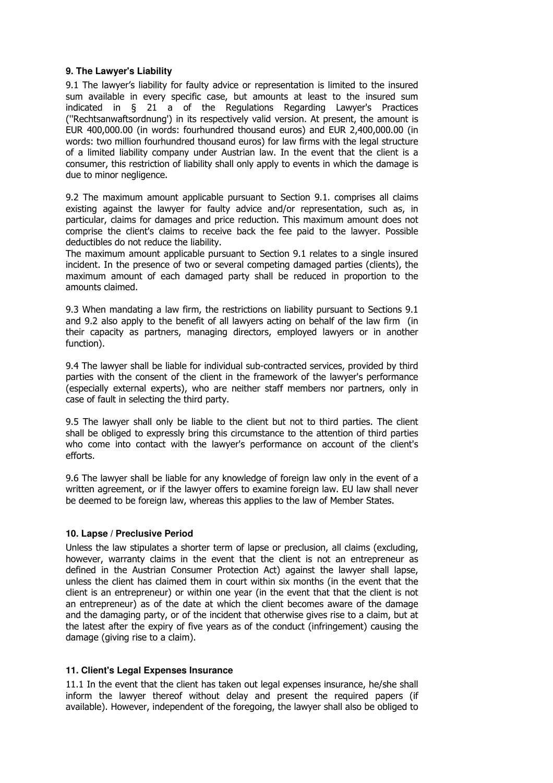# **9. The Lawyer's Liability**

9.1 The lawyer's liability for faulty advice or representation is limited to the insured sum available in every specific case, but amounts at least to the insured sum indicated in § 21 a of the Regulations Regarding Lawyer's Practices (''Rechtsanwaftsordnung') in its respectively valid version. At present, the amount is EUR 400,000.00 (in words: fourhundred thousand euros) and EUR 2,400,000.00 (in words: two million fourhundred thousand euros) for law firms with the legal structure of a limited liability company under Austrian law. In the event that the client is a consumer, this restriction of liability shall only apply to events in which the damage is due to minor negligence.

9.2 The maximum amount applicable pursuant to Section 9.1. comprises all claims existing against the lawyer for faulty advice and/or representation, such as, in particular, claims for damages and price reduction. This maximum amount does not comprise the client's claims to receive back the fee paid to the lawyer. Possible deductibles do not reduce the liability.

The maximum amount applicable pursuant to Section 9.1 relates to a single insured incident. In the presence of two or several competing damaged parties (clients), the maximum amount of each damaged party shall be reduced in proportion to the amounts claimed.

9.3 When mandating a law firm, the restrictions on liability pursuant to Sections 9.1 and 9.2 also apply to the benefit of all lawyers acting on behalf of the law firm (in their capacity as partners, managing directors, employed lawyers or in another function).

9.4 The lawyer shall be liable for individual sub-contracted services, provided by third parties with the consent of the client in the framework of the lawyer's performance (especially external experts), who are neither staff members nor partners, only in case of fault in selecting the third party.

9.5 The lawyer shall only be liable to the client but not to third parties. The client shall be obliged to expressly bring this circumstance to the attention of third parties who come into contact with the lawyer's performance on account of the client's efforts.

9.6 The lawyer shall be liable for any knowledge of foreign law only in the event of a written agreement, or if the lawyer offers to examine foreign law. EU law shall never be deemed to be foreign law, whereas this applies to the law of Member States.

# **10. Lapse / Preclusive Period**

Unless the law stipulates a shorter term of lapse or preclusion, all claims (excluding, however, warranty claims in the event that the client is not an entrepreneur as defined in the Austrian Consumer Protection Act) against the lawyer shall lapse, unless the client has claimed them in court within six months (in the event that the client is an entrepreneur) or within one year (in the event that that the client is not an entrepreneur) as of the date at which the client becomes aware of the damage and the damaging party, or of the incident that otherwise gives rise to a claim, but at the latest after the expiry of five years as of the conduct (infringement) causing the damage (giving rise to a claim).

### **11. Client's Legal Expenses Insurance**

11.1 In the event that the client has taken out legal expenses insurance, he/she shall inform the lawyer thereof without delay and present the required papers (if available). However, independent of the foregoing, the lawyer shall also be obliged to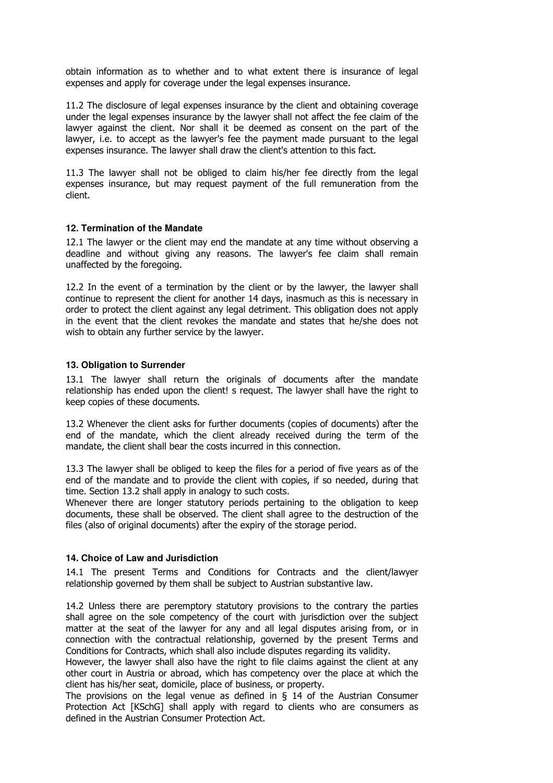obtain information as to whether and to what extent there is insurance of legal expenses and apply for coverage under the legal expenses insurance.

11.2 The disclosure of legal expenses insurance by the client and obtaining coverage under the legal expenses insurance by the lawyer shall not affect the fee claim of the lawyer against the client. Nor shall it be deemed as consent on the part of the lawyer, i.e. to accept as the lawyer's fee the payment made pursuant to the legal expenses insurance. The lawyer shall draw the client's attention to this fact.

11.3 The lawyer shall not be obliged to claim his/her fee directly from the legal expenses insurance, but may request payment of the full remuneration from the client.

# **12. Termination of the Mandate**

12.1 The lawyer or the client may end the mandate at any time without observing a deadline and without giving any reasons. The lawyer's fee claim shall remain unaffected by the foregoing.

12.2 In the event of a termination by the client or by the lawyer, the lawyer shall continue to represent the client for another 14 days, inasmuch as this is necessary in order to protect the client against any legal detriment. This obligation does not apply in the event that the client revokes the mandate and states that he/she does not wish to obtain any further service by the lawyer.

# **13. Obligation to Surrender**

13.1 The lawyer shall return the originals of documents after the mandate relationship has ended upon the client! s request. The lawyer shall have the right to keep copies of these documents.

13.2 Whenever the client asks for further documents (copies of documents) after the end of the mandate, which the client already received during the term of the mandate, the client shall bear the costs incurred in this connection.

13.3 The lawyer shall be obliged to keep the files for a period of five years as of the end of the mandate and to provide the client with copies, if so needed, during that time. Section 13.2 shall apply in analogy to such costs.

Whenever there are longer statutory periods pertaining to the obligation to keep documents, these shall be observed. The client shall agree to the destruction of the files (also of original documents) after the expiry of the storage period.

# **14. Choice of Law and Jurisdiction**

14.1 The present Terms and Conditions for Contracts and the client/lawyer relationship governed by them shall be subject to Austrian substantive law.

14.2 Unless there are peremptory statutory provisions to the contrary the parties shall agree on the sole competency of the court with jurisdiction over the subject matter at the seat of the lawyer for any and all legal disputes arising from, or in connection with the contractual relationship, governed by the present Terms and Conditions for Contracts, which shall also include disputes regarding its validity.

However, the lawyer shall also have the right to file claims against the client at any other court in Austria or abroad, which has competency over the place at which the client has his/her seat, domicile, place of business, or property.

The provisions on the legal venue as defined in  $\S$  14 of the Austrian Consumer Protection Act [KSchG] shall apply with regard to clients who are consumers as defined in the Austrian Consumer Protection Act.